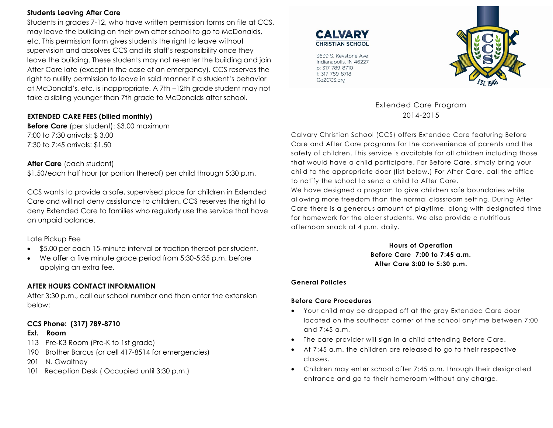### **Students Leaving After Care**

Students in grades 7-12, who have written permission forms on file at CCS, may leave the building on their own after school to go to McDonalds, etc. This permission form gives students the right to leave without supervision and absolves CCS and its staff's responsibility once they leave the building. These students may not re-enter the building and join After Care late (except in the case of an emergency). CCS reserves the right to nullify permission to leave in said manner if a student's behavior at McDonald's, etc. is inappropriate. A 7th –12th grade student may not take a sibling younger than 7th grade to McDonalds after school.

## **EXTENDED CARE FEES (billed monthly)**

**Before Care** (per student): \$3.00 maximum 7:00 to 7:30 arrivals: \$ 3.00 7:30 to 7:45 arrivals: \$1.50

## **After Care** (each student)

\$1.50/each half hour (or portion thereof) per child through 5:30 p.m.

CCS wants to provide a safe, supervised place for children in Extended Care and will not deny assistance to children. CCS reserves the right to deny Extended Care to families who regularly use the service that have an unpaid balance.

Late Pickup Fee

- \$5.00 per each 15-minute interval or fraction thereof per student.
- We offer a five minute grace period from 5:30-5:35 p.m. before applying an extra fee.

## **AFTER HOURS CONTACT INFORMATION**

After 3:30 p.m., call our school number and then enter the extension below:

## **CCS Phone: (317) 789-8710**

### **Ext. Room**

- 113 Pre-K3 Room (Pre-K to 1st grade)
- 190 Brother Barcus (or cell 417-8514 for emergencies)
- 201 N. Gwaltney
- 101 Reception Desk ( Occupied until 3:30 p.m.)





3639 S. Keystone Ave Indianapolis, IN 46227 p: 317-789-8710 f: 317-789-8718 Go2CCS.org

> Extended Care Program 2014-2015

Calvary Christian School (CCS) offers Extended Care featuring Before Care and After Care programs for the convenience of parents and the safety of children. This service is available for all children including those that would have a child participate. For Before Care, simply bring your child to the appropriate door (list below.) For After Care, call the office to notify the school to send a child to After Care.

We have designed a program to give children safe boundaries while allowing more freedom than the normal classroom setting. During After Care there is a generous amount of playtime, along with designated time for homework for the older students. We also provide a nutritious afternoon snack at 4 p.m. daily.

> **Hours of Operation Before Care 7:00 to 7:45 a.m. After Care 3:00 to 5:30 p.m.**

### **General Policies**

### **Before Care Procedures**

- Your child may be dropped off at the gray Extended Care door located on the southeast corner of the school anytime between 7:00 and 7:45 a.m.
- The care provider will sign in a child attending Before Care.
- At 7:45 a.m. the children are released to go to their respective classes.
- Children may enter school after 7:45 a.m. through their designated entrance and go to their homeroom without any charge.